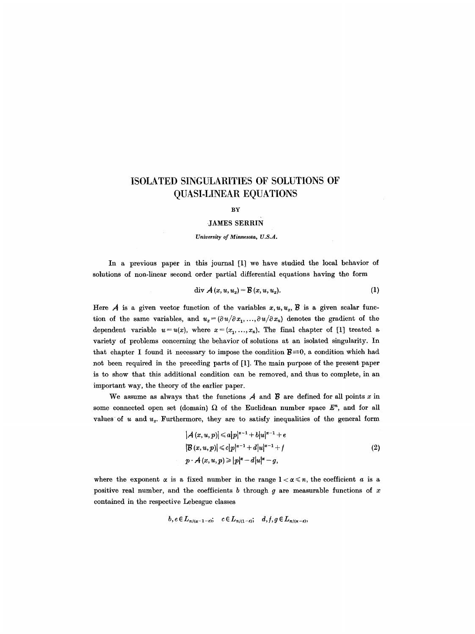# **ISOLATED SINGULARITIES OF SOLUTIONS OF QUASI,LINEAR EQUATIONS**

#### BY

# **JAMES SERRIN**

#### *University of Minnesota, U.S.A.*

In a previous paper in this journal [1] we have studied the local behavior of solutions of non-linear second order partial differential equations having the form

$$
\text{div }\mathcal{A}\left(x,u,u_{x}\right)=\mathcal{B}\left(x,u,u_{x}\right). \tag{1}
$$

Here  $A$  is a given vector function of the variables  $x, u, u_x, B$  is a given scalar function of the same variables, and  $u_x=(\partial u/\partial x_1, ..., \partial u/\partial x_n)$  denotes the gradient of the dependent variable  $u=u(x)$ , where  $x=(x_1, ..., x_n)$ . The final chapter of [1] treated a variety of problems concerning the behavior of solutions at an isolated singularity. In that chapter I found it necessary to impose the condition  $B=0$ , a condition which had not been required in the preceding parts of [1]. The main purpose of the present paper is to show that this additional condition can be removed, and thus to complete, in an important way, the theory of the earlier paper.

We assume as always that the functions  $A$  and  $B$  are defined for all points x in some connected open set (domain)  $\Omega$  of the Euclidean number space  $E^n$ , and for all values of  $u$  and  $u_x$ . Furthermore, they are to satisfy inequalities of the general form

$$
|A (x, u, p)| \le a|p|^{x-1} + b|u|^{x-1} + e
$$
  
\n
$$
|B (x, u, p)| \le c|p|^{x-1} + d|u|^{x-1} + f
$$
  
\n
$$
p \cdot A (x, u, p) \ge |p|^x - d|u|^x - g,
$$
\n(2)

where the exponent  $\alpha$  is a fixed number in the range  $1 < \alpha \le n$ , the coefficient  $\alpha$  is a positive real number, and the coefficients  $b$  through  $g$  are measurable functions of  $x$ contained in the respective Lebesgue classes

$$
b, e \in L_{n/(\alpha-1-\varepsilon)}; \quad c \in L_{n/(\alpha-\varepsilon)}; \quad d, f, g \in L_{n/(\alpha-\varepsilon)},
$$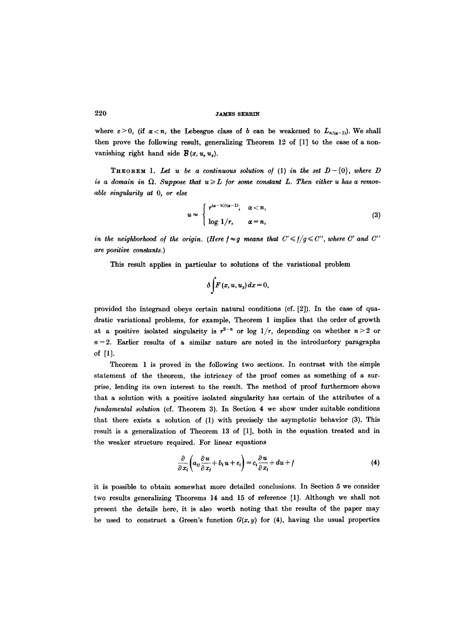where  $\varepsilon > 0$ , (if  $\alpha < n$ , the Lebesgue class of b can be weakened to  $L_{n/(\alpha-1)}$ ). We shall then prove the following result, generalizing Theorem 12 of [1] to the case of a nonvanishing right hand side  $\mathcal{B}(x, u, u_x)$ .

**THEOREM** 1. Let u be a continuous solution of (1) in the set  $D-\{0\}$ , where D is a domain in  $\Omega$ . Suppose that  $u \geqslant L$  for some constant L. Then either u has a remov*able singularity at O, or else* 

$$
u \approx \begin{cases} r^{(\alpha-n)/(\alpha-1)}, & \alpha < n, \\ \log 1/r, & \alpha = n, \end{cases}
$$
 (3)

*in the neighborhood of the origin. (Here*  $f \approx g$  *means that*  $C' \leq f/g \leq C''$ *, where C' and C'' are positive constants.)* 

This result applies in particular to solutions of the variational problem

$$
\delta \int F(x, u, u_x) \, dx = 0,
$$

provided the integrand obeys certain natural conditions (of. [2]). In the case of quadratic variational problems, for example, Theorem 1 implies that the order of growth at a positive isolated singularity is  $r^{2-n}$  or log  $1/r$ , depending on whether  $n>2$  or  $n=2$ . Earlier results of a similar nature are noted in the introductory paragraphs of [1].

Theorem 1 is proved in the following two sections. In contrast with the simple statement of the theorem, the intricacy of the proof comes as something of a surprise, lending its own interest to the result. The method of proof furthermore shows that a solution with a positive isolated singularity has certain of the attributes of a */undamental solution* (cf. Theorem 3). In Section 4 we show under suitable conditions that there exists a solution of (1) with precisely the asymptotic behavior (3). This result is a generalization of Theorem 13 of [1], both in the equation treated and in the weaker structure required. For linear equations

$$
\frac{\partial}{\partial x_i}\left(a_{ij}\frac{\partial u}{\partial x_j} + b_i u + e_i\right) = c_i \frac{\partial u}{\partial x_i} + du + f \tag{4}
$$

it is possible to obtain somewhat more detailed conclusions. In Section 5 we consider two results generalizing Theorems 14 and 15 of reference [1]. Although we shall not present the details here, it is also worth noting that the results of the paper may be used to construct a Green's function  $G(x, y)$  for (4), having the usual properties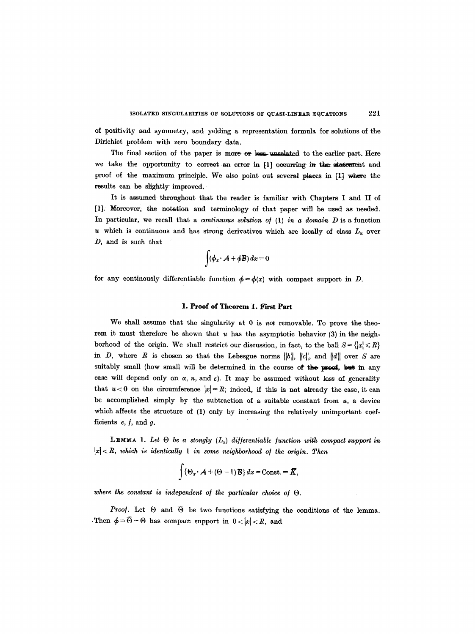of positivity and symmetry, and yelding a representation formula for solutions of the Diriehlet problem with zero boundary data.

The final section of the paper is more or less unrelated to the earlier part. Here we take the opportunity to correct an error in [1] occurring in the statement and proof of the maximum principle. We also point out several places in [1] where the results can be slightly improved.

It is assumed throughout that the reader is familiar with Chapters I and II of [1]. Moreover, the notation and terminology of that paper will be used as needed. In particular, we recall that a *continuous solution of* (1) *in a domain D* is a function u which is continuous and has strong derivatives which are locally of class  $L_{\infty}$  over D, and is such that

$$
\int (\phi_x \cdot \mathcal{A} + \phi \mathcal{B}) dx = 0
$$

for any continuously differentiable function  $\phi = \phi(x)$  with compact support in D.

### 1. **Proof of Theorem 1. First Part**

We shall assume that the singularity at 0 is not removable. To prove the theorem it must therefore be shown that  $u$  has the asymptotic behavior (3) in the neighborhood of the origin. We shall restrict our discussion, in fact, to the ball  $S = \{ |x| \le R \}$ in D, where R is chosen so that the Lebesgue norms  $||b||$ ,  $||c||$ , and  $||d||$  over S are suitably small (how small will be determined in the course of the proof, but in any case will depend only on  $\alpha$ , n, and  $\varepsilon$ ). It may be assumed without loss of generality that  $u < 0$  on the circumference  $|x| = R$ ; indeed, if this is not already the case, it can be accomplished simply by the subtraction of a suitable constant from  $u$ , a device which affects the structure of (1) only by increasing the relatively unimportant coefficients  $e, f$ , and  $g$ .

**LEMMA 1.** Let  $\Theta$  be a stongly  $(L_{\alpha})$  differentiable function with compact support in  $|x| < R$ , which is identically 1 in some neighborhood of the origin. Then

$$
\int {\Theta_x \cdot A + (\Theta - 1) B} dx = \text{Const.} = \overline{K},
$$

*where the constant is independent of the particular choice of O.* 

*Proof.* Let  $\Theta$  and  $\overline{\Theta}$  be two functions satisfying the conditions of the lemma. Then  $\phi = \overline{\Theta} - \Theta$  has compact support in  $0 < |x| < R$ , and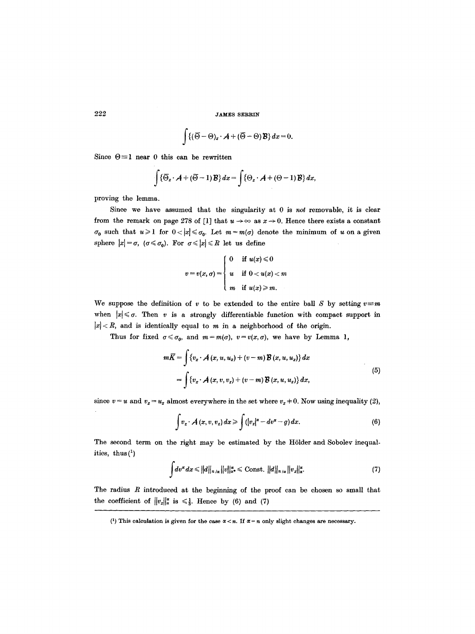$$
\int \{(\overline{\Theta}-\Theta)_x\cdot \mathcal{A}+(\overline{\Theta}-\Theta)\mathcal{B}\}\,dx=0.
$$

Since  $\Theta = 1$  near 0 this can be rewritten

$$
\int {\{\overline{\Theta}_x \cdot A + (\overline{\Theta} - 1) \mathcal{B}\} dx} = \int {\{\Theta_x \cdot A + (\Theta - 1) \mathcal{B}\} dx},
$$

proving the lemma.

Since we have assumed that the singularity at 0 is not removable, it is clear from the remark on page 278 of [1] that  $u \rightarrow \infty$  as  $x \rightarrow 0$ . Hence there exists a constant  $\sigma_0$  such that  $u \geq 1$  for  $0 < |x| \leq \sigma_0$ . Let  $m = m(\sigma)$  denote the minimum of u on a given sphere  $|x| = \sigma$ ,  $(\sigma \le \sigma_0)$ . For  $\sigma \le |x| \le R$  let us define

$$
v = v(x, \sigma) = \begin{cases} 0 & \text{if } u(x) \leq 0 \\ u & \text{if } 0 < u(x) < m \\ m & \text{if } u(x) \geq m. \end{cases}
$$

We suppose the definition of v to be extended to the entire ball S by setting  $v \equiv m$ when  $|x| \leq \sigma$ . Then v is a strongly differentiable function with compact support in  $|x| < R$ , and is identically equal to m in a neighborhood of the origin.

Thus for fixed  $\sigma \leq \sigma_0$ , and  $m=m(\sigma)$ ,  $v=v(x,\sigma)$ , we have by Lemma 1,

$$
m\overline{K} = \int \{v_x \cdot A(x, u, u_x) + (v - m) \mathcal{B}(x, u, u_x)\} dx
$$
  
= 
$$
\int \{v_x \cdot A(x, v, v_x) + (v - m) \mathcal{B}(x, u, u_x)\} dx,
$$
 (5)

since  $v = u$  and  $v_x = u_x$  almost everywhere in the set where  $v_x \neq 0$ . Now using inequality (2),

$$
\int v_x \cdot A(x, v, v_x) dx \ge \int (|v_x|^{\alpha} - dv^{\alpha} - g) dx. \tag{6}
$$

The second term on the right may be estimated by the Hölder and Sobolev inequalities, thus  $(1)$ 

$$
\int dv^{\alpha} dx \leq ||d||_{n/\alpha} ||v||_{\alpha^*}^{\alpha} \leq \text{Const. } ||d||_{n/\alpha} ||v_x||_{\alpha}^{\alpha}.
$$
 (7)

The radius  $R$  introduced at the beginning of the proof can be chosen so small that the coefficient of  $||v_x||_{\alpha}^{\alpha}$  is  $\leq \frac{1}{3}$ . Hence by (6) and (7)

<sup>(1)</sup> This calculation is given for the case  $\alpha < n$ . If  $\alpha = n$  only slight changes are necessary.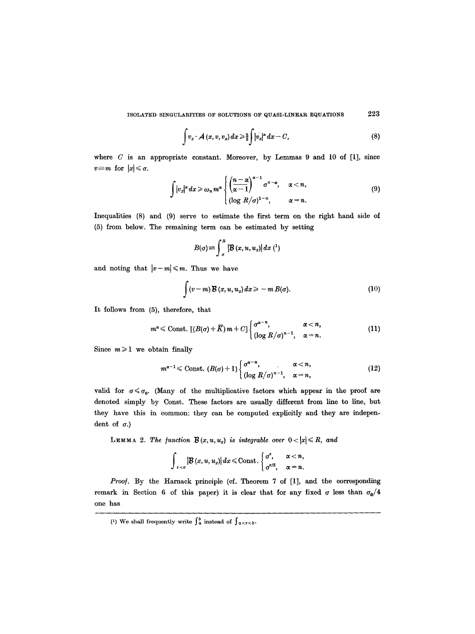$$
\int v_x \cdot \mathcal{A}(x, v, v_x) dx \ge \frac{2}{3} \int |v_x|^{\alpha} dx - C, \tag{8}
$$

where  $C$  is an appropriate constant. Moreover, by Lemmas 9 and 10 of [1], since  $v \equiv m$  for  $|x| \leq \sigma$ .

$$
\int |v_x|^{\alpha} dx \geqslant \omega_n m^{\alpha} \begin{cases} \left(\frac{n-\alpha}{\alpha-1}\right)^{\alpha-1} \sigma^{n-\alpha}, & \alpha < n, \\ (\log R/\sigma)^{1-n}, & \alpha = n. \end{cases}
$$
 (9)

Inequalities (8) and (9) serve to estimate the first term on the right hand side of (5) from below. The remaining term can be estimated by setting

$$
B(\sigma) \equiv \int_{\sigma}^{R} \left| B(x, u, u_x) \right| dx \, (1)
$$

and noting that  $|v-m| \leq m$ . Thus we have

$$
\int (v-m) \mathcal{B}(x, u, u_x) dx \geq -m B(\sigma). \tag{10}
$$

It follows from (5), therefore, that

$$
m^{\alpha} \leq \text{Const.} \left[ (B(\sigma) + \overline{K}) m + C \right] \begin{cases} \sigma^{\alpha - n}, & \alpha < n, \\ \left( \log R / \sigma \right)^{n - 1}, & \alpha = n. \end{cases}
$$
 (11)

Since  $m \geq 1$  we obtain finally

$$
m^{\alpha-1} \leq \text{Const.} \ (B(\sigma)+1) \begin{cases} \sigma^{\alpha-n}, & \alpha < n, \\ (\log R/\sigma)^{n-1}, & \alpha = n, \end{cases} \tag{12}
$$

valid for  $\sigma \leq \sigma_0$ . (Many of the multiplicative factors which appear in the proof are denoted simply by Const. These factors are usually different from line to line, but they have this in common: they can be computed explicitly and they are independent of  $\sigma$ .)

LEMMA 2. The function  $B(x, u, u_x)$  is integrable over  $0 < |x| \le R$ , and

$$
\int_{r<\sigma} |\mathcal{B}(x,u,u_x)| dx \leq \text{Const.} \begin{cases} \sigma^{\varepsilon}, & \alpha < n, \\ \sigma^{\varepsilon/2}, & \alpha = n. \end{cases}
$$

*Proof.* By the Harnaek principle (cf. Theorem 7 of [1], and the corresponding remark in Section 6 of this paper) it is clear that for any fixed  $\sigma$  less than  $\sigma_0/4$ one has

<sup>(1)</sup> We shall frequently write  $\int_a^b$  instead of  $\int_{a < r < b}$ .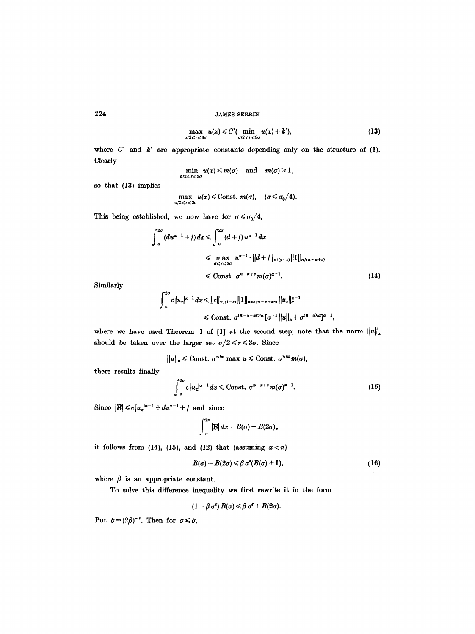$$
\max_{\sigma/2\leqslant r\leqslant 3\sigma} u(x) \leqslant C'(\min_{\sigma/2\leqslant r\leqslant 3\sigma} u(x)+k'),\tag{13}
$$

where  $C'$  and  $k'$  are appropriate constants depending only on the structure of (1). Clearly

$$
\min_{\sigma/2\leqslant r\leqslant 3\sigma} u(x)\leqslant m(\sigma) \quad \text{and} \quad m(\sigma)\geqslant 1,
$$

so that (13) implies

$$
\max_{\sigma/2\leq r\leq 3\sigma} u(x) \leq \text{Const. } m(\sigma), \quad (\sigma \leq \sigma_0/4).
$$

This being established, we now have for  $\sigma \leq \sigma_0/4$ ,

$$
\int_{\sigma}^{2\sigma} (du^{\alpha-1} + f) dx \leqslant \int_{\sigma}^{2\sigma} (d+f) u^{\alpha-1} dx
$$
  
\n
$$
\leqslant \max_{\sigma \leqslant \tau \leqslant 2\sigma} u^{\alpha-1} \cdot ||d+f||_{n/(\alpha-\epsilon)} ||1||_{n/(n-\alpha+\epsilon)}
$$
  
\n
$$
\leqslant \text{Const. } \sigma^{n-\alpha+\epsilon} m(\sigma)^{\alpha-1}.
$$
 (14)

Similarly

$$
\int_{\sigma}^{2\sigma} c |u_x|^{\alpha-1} dx \leq ||c||_{n/(1-\epsilon)} ||1||_{\alpha n/(n-\alpha+\alpha\epsilon)} ||u_x||_{\alpha}^{\alpha-1}
$$
  

$$
\leq C \text{onst.} \quad \sigma^{(n-\alpha+\alpha\epsilon)/\alpha} [\sigma^{-1} ||u||_{\alpha} + \sigma^{(n-\alpha)/\alpha}]^{\alpha-1},
$$

where we have used Theorem 1 of [1] at the second step; note that the norm  $||u||_{\alpha}$ should be taken over the larger set  $\sigma/2 \leq r \leq 3\sigma$ . Since

$$
||u||_{\alpha} \leq C
$$
const.  $\sigma^{n/\alpha}$  max  $u \leq C$  const.  $\sigma^{n/\alpha} m(\sigma)$ ,

there results finally

$$
\int_{\sigma}^{2\sigma} c |u_x|^{\alpha-1} dx \leq \text{Const. } \sigma^{n-\alpha+\varepsilon} m(\sigma)^{\alpha-1}.
$$
 (15)

Since  $|\mathcal{B}| \leq c |u_x|^{\alpha-1} + du^{\alpha-1} + f$  and since

$$
\int_{\sigma}^{2\sigma} |\mathcal{B}| dx = B(\sigma) - B(2\sigma),
$$

it follows from (14), (15), and (12) that (assuming  $\alpha < n$ )

$$
B(\sigma) - B(2\sigma) \leq \beta \sigma^e(B(\sigma) + 1), \qquad (16)
$$

where  $\beta$  is an appropriate constant.

To solve this difference inequality we first rewrite it in the form

$$
(1-\beta \sigma^\epsilon) B(\sigma) \leq \beta \sigma^\epsilon + B(2\sigma).
$$

Put  $\hat{\sigma} = (2\beta)^{-s}$ . Then for  $\sigma \le \hat{\sigma}$ ,

224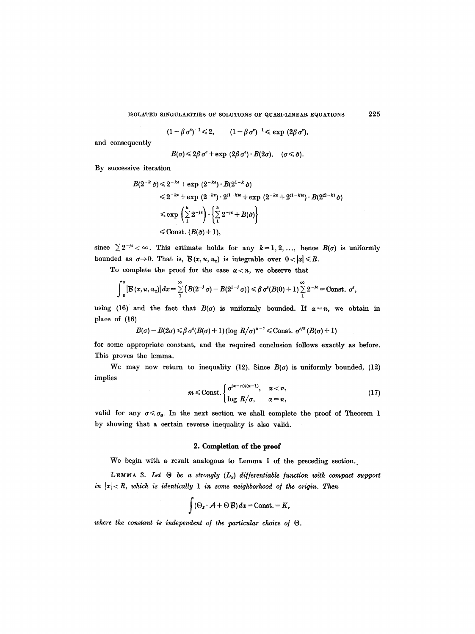ISOLATED SINGULARITIES OF SOLUTIONS OF QUASI-LINEAR EQUATIONS 225

$$
(1-\beta \sigma^{\epsilon})^{-1} \leq 2, \qquad (1-\beta \sigma^{\epsilon})^{-1} \leq \exp(2\beta \sigma^{\epsilon}),
$$

and consequently

$$
B(\sigma) \leq 2\beta \sigma^e + \exp(2\beta \sigma^e) \cdot B(2\sigma), \quad (\sigma \leq \hat{\sigma}).
$$

By successive iteration

$$
B(2^{-k}\hat{\sigma}) \leq 2^{-k\epsilon} + \exp(2^{-k\epsilon}) \cdot B(2^{1-k}\hat{\sigma})
$$
  
\$\leq 2^{-k\epsilon} + \exp(2^{-k\epsilon}) \cdot 2^{(1-k)\epsilon} + \exp(2^{-k\epsilon} + 2^{(1-k)\epsilon}) \cdot B(2^{(2-k)}\hat{\sigma})\$  
\$\leq \exp\left(\sum\_{1}^{k} 2^{-js}\right) \cdot \left\{\sum\_{1}^{k} 2^{-js} + B(\hat{\sigma})\right\}\$  
\$\leq \text{Const.} (B(\hat{\sigma}) + 1),\$

since  $\sum 2^{-j\epsilon} < \infty$ . This estimate holds for any  $k=1,2,...$ , hence  $B(\sigma)$  is uniformly bounded as  $\sigma \rightarrow 0$ . That is,  $\mathcal{B}(x, u, u_x)$  is integrable over  $0 < |x| \le R$ .

To complete the proof for the case  $\alpha < n$ , we observe that

$$
\int_0^{\sigma} \left| \mathcal{B} \left( x, u, u_x \right) \right| dx = \sum_{1}^{\infty} \left\{ B(2^{-j} \sigma) - B(2^{1-j} \sigma) \right\} \leq \beta \sigma^s (B(0) + 1) \sum_{1}^{\infty} 2^{-j\epsilon} = \text{Const. } \sigma^{\epsilon},
$$

using (16) and the fact that  $B(\sigma)$  is uniformly bounded. If  $\alpha = n$ , we obtain in place of (16)

$$
B(\sigma)-B(2\sigma)\leq \beta \sigma^{\epsilon}(B(\sigma)+1)(\log R/\sigma)^{n-1}\leq \text{Const. }\sigma^{\epsilon/2}(B(\sigma)+1)
$$

for some appropriate constant, and the required conclusion follows exactly as before. This proves the lemma.

We may now return to inequality (12). Since  $B(\sigma)$  is uniformly bounded, (12) implies

$$
m \leq \text{Const.} \begin{cases} \sigma^{(\alpha-n)/(\alpha-1)}, & \alpha < n, \\ \log R/\sigma, & \alpha = n, \end{cases} \tag{17}
$$

valid for any  $\sigma \leq \sigma_0$ . In the next section we shall complete the proof of Theorem 1 by showing that a certain reverse inequality is also valid.

# **2. Completion of the proof**

We begin with a result analogous to Lemma 1 of the preceding section.

LEMMA 3. Let  $\Theta$  be a strongly  $(L_{\alpha})$  differentiable function with compact support *in*  $|x| < R$ , which is identically 1 in some neighborhood of the origin. Then

$$
\int (\Theta_x \cdot \mathcal{A} + \Theta \mathcal{B}) dx = \text{Const.} = K,
$$

where the constant is independent of the particular choice of  $\Theta$ .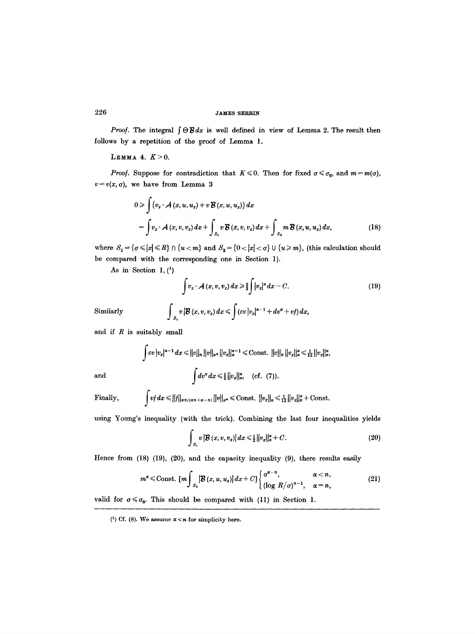*Proof.* The integral  $\int \Theta \mathcal{B} dx$  is well defined in view of Lemma 2. The result then follows by a repetition of the proof of Lemma 1.

LEMMA 4.  $K>0$ .

*Proof.* Suppose for contradiction that  $K \le 0$ . Then for fixed  $\sigma \le \sigma_0$ , and  $m = m(\sigma)$ ,  $v=v(x, a)$ , we have from Lemma 3

$$
0 \ge \int \{v_x \cdot A(x, u, u_x) + v \mathcal{B}(x, u, u_x)\} dx
$$
  
= 
$$
\int v_x \cdot A(x, v, v_x) dx + \int_{S_1} v \mathcal{B}(x, v, v_x) dx + \int_{S_2} m \mathcal{B}(x, u, u_x) dx,
$$
 (18)

where  $S_1 = \{ \sigma \leq |x| \leq R \} \cap \{u < m\}$  and  $S_2 = \{0 < |x| < \sigma\} \cup \{u \geq m\}$ , (this calculation should be compared with the corresponding one in Section 1).

As in Section 1,  $(1)$ 

$$
\int v_x \cdot \mathcal{A}(x, v, v_x) dx \geq \frac{2}{3} \int |v_x|^{\alpha} dx - C. \tag{19}
$$

Similarly  $\int_{S_1} v |\mathcal{B} (x, v, v_x) dx \leq \int (cv) |v_x|^{\alpha-1} + dv^\alpha + v f) dx$ ,

and if  $R$  is suitably small

$$
\int cv |v_x|^{\alpha-1} dx \le ||c||_n ||v||_{\alpha^*} ||v_x||_{\alpha}^{\alpha-1} \le \text{Const. } ||c||_n ||v_x||_{\alpha}^{\alpha} \le \frac{1}{12} ||v_x||_{\alpha}^{\alpha},
$$
  
and  

$$
\int dv^{\alpha} dx \le \frac{1}{3} ||v_x||_{\alpha}^{\alpha}, \quad (\text{cf. } (7)).
$$

Finally, 
$$
\int v f dx \leq ||f||_{\alpha n/(\alpha n + \alpha - n)} ||v||_{\alpha^*} \leq \text{Const.} ||v_x||_{\alpha} \leq \frac{1}{12} ||v_x||_{\alpha}^{\alpha} + \text{Const.}
$$

using Young's inequality (with the trick). Combining the last four inequalities yields

$$
\int_{S_1} v \left| \mathcal{B} \left( x, v, v_x \right) \right| dx \leq \frac{1}{2} ||v_x||_{\alpha}^{\alpha} + C. \tag{20}
$$

Hence from (18) (19), (20), and the capacity inequality (9), there results easily

$$
m^{\alpha} \leq \text{Const.} \left[ m \int_{S_2} \left| \mathcal{B} \left( x, u, u_x \right) \right| dx + C \right] \begin{cases} \sigma^{\alpha - n}, & \alpha < n, \\ \left( \log R / \sigma \right)^{n-1}, & \alpha = n, \end{cases}
$$
 (21)

valid for  $\sigma \leq \sigma_0$ . This should be compared with (11) in Section 1.

<sup>(1)</sup> Cf. (8). We assume  $\alpha < n$  for simplicity here.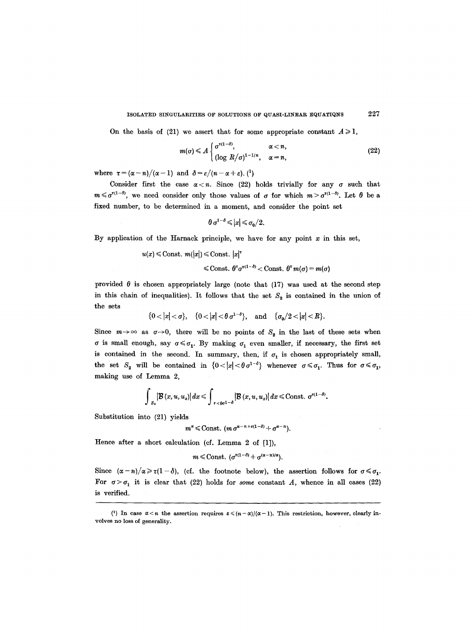On the basis of (21) we assert that for some appropriate constant  $A \ge 1$ ,

$$
m(\sigma) \leq A \begin{cases} \sigma^{\tau(1-\delta)}, & \alpha < n, \\ (\log R/\sigma)^{1-1/n}, & \alpha = n, \end{cases}
$$
 (22)

where  $\tau = (\alpha - n)/(\alpha - 1)$  and  $\delta = \varepsilon/(n - \alpha + \varepsilon)$ . (<sup>1</sup>)

Consider first the case  $\alpha < n$ . Since (22) holds trivially for any  $\sigma$  such that  $m \leq \sigma^{\tau(1-\delta)}$ , we need consider only those values of  $\sigma$  for which  $m > \sigma^{\tau(1-\delta)}$ . Let  $\theta$  be a fixed number, to be determined in a moment, and consider the point set

$$
\theta \sigma^{1-\delta} \leqslant |x| \leqslant \sigma_0/2.
$$

By application of the Harnack principle, we have for any point  $x$  in this set,

 $u(x) \leq \text{Const. } m(|x|) \leq \text{Const. } |x|^{\tau}$  $\leq$  Const.  $\theta^{\tau}\sigma^{\tau(1-\delta)}$  < Const.  $\theta^{\tau}m(\sigma)$  =  $m(\sigma)$ 

provided  $\theta$  is chosen appropriately large (note that (17) was used at the second step in this chain of inequalities). It follows that the set  $S_2$  is contained in the union of the sets

$$
\{0<|x|<\sigma\},\quad \{0<|x|<\theta\,\sigma^{1-\delta}\},\quad \text{and}\quad \{\sigma_0/2<|x|
$$

Since  $m \to \infty$  as  $\sigma \to 0$ , there will be no points of  $S_2$  in the last of these sets when  $\sigma$  is small enough, say  $\sigma \leq \sigma_1$ . By making  $\sigma_1$  even smaller, if necessary, the first set is contained in the second. In summary, then, if  $\sigma_1$  is chosen appropriately small, the set  $S_2$  will be contained in  $\{0<|x|<\theta\sigma^{1-\delta}\}\$  whenever  $\sigma\leqslant\sigma_1$ . Thus for  $\sigma\leqslant\sigma_1$ , making use of Lemma 2,

$$
\int_{S_3} \left| \mathcal{B} \left( x, u, u_x \right) \right| dx \leqslant \int_{\tau < \theta \sigma^{1-\delta}} \left| \mathcal{B} \left( x, u, u_x \right) \right| dx \leqslant \text{Const.} \ \sigma^{\varepsilon(1-\delta)}.
$$

Substitution into (21) yields

$$
m^{\alpha} \leq \text{Const.} \ (m \ \sigma^{\alpha-n+\varepsilon(1-\delta)} + \sigma^{\alpha-n}).
$$

Hence after a short calculation (cf. Lemma 2 of [1]),

$$
m \leq \text{Const.} \ (\sigma^{\tau(1-\delta)} + \sigma^{(\alpha-n)/\alpha}).
$$

Since  $(\alpha-n)/\alpha \ge \tau(1-\delta)$ , (cf. the footnote below), the assertion follows for  $\sigma \le \sigma_1$ . For  $\sigma > \sigma_1$  it is clear that (22) holds for *some* constant A, whence in all cases (22) is verified.

<sup>(1)</sup> In case  $\alpha < n$  the assertion requires  $\varepsilon \leqslant (n-\alpha)/(\alpha-1)$ . This restriction, however, clearly involves no loss of generality.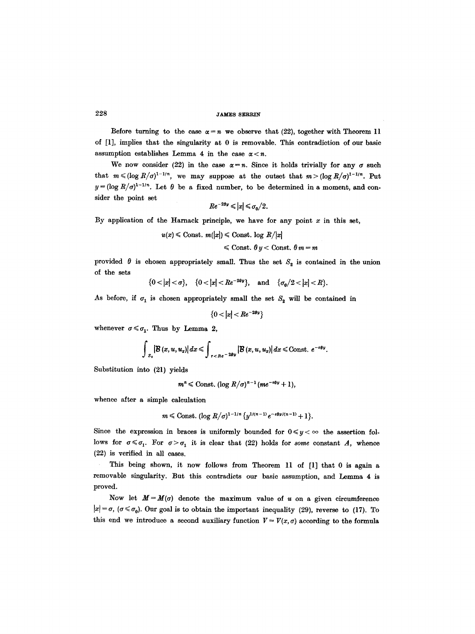Before turning to the case  $\alpha = n$  we observe that (22), together with Theorem 11 of [1], implies that the singularity at 0 is removable. This contradiction of our basic assumption establishes Lemma 4 in the case  $\alpha < n$ .

We now consider (22) in the case  $\alpha = n$ . Since it holds trivially for any  $\sigma$  such that  $m \leq (\log R/\sigma)^{1-1/n}$ , we may suppose at the outset that  $m > (\log R/\sigma)^{1-1/n}$ . Put  $y = (\log R/\sigma)^{1-1/n}$ . Let  $\theta$  be a fixed number, to be determined in a moment, and consider the point set

$$
Re^{-2\theta y} \leqslant |x| \leqslant \sigma_0/2.
$$

By application of the Harnack principle, we have for any point  $x$  in this set,

$$
u(x) \leq \text{Const. } m(|x|) \leq \text{Const. } \log R/|x|
$$

$$
\leqslant \text{Const.} \ \theta \ y < \text{Const.} \ \theta \ m = m
$$

provided  $\theta$  is chosen appropriately small. Thus the set  $S_2$  is contained in the union of the sets

$$
\{0<|x|<\sigma\}, \quad \{0<|x|
$$

As before, if  $\sigma_1$  is chosen appropriately small the set  $S_2$  will be contained in

$$
\{0<|x|
$$

whenever  $\sigma \leq \sigma_1$ . Thus by Lemma 2,

$$
\int_{S_2} \left| \mathcal{B} \left( x, u, u_x \right) \right| dx \leqslant \int_{r < Re^{-2\theta y}} \left| \mathcal{B} \left( x, u, u_x \right) \right| dx \leqslant \text{Const. } e^{-\varepsilon \theta y}.
$$

Substitution into (21) yields

$$
m^{n} \leq \text{Const.} \left( \log R/\sigma \right)^{n-1} (me^{-\epsilon \theta y} + 1),
$$

whence after a simple calculation

$$
m \leq \text{Const.} \left( \log R/\sigma \right)^{1-1/n} \left\{ y^{1/(n-1)} e^{-\epsilon \theta y/(n-1)} + 1 \right\}.
$$

Since the expression in braces is uniformly bounded for  $0 \le y < \infty$  the assertion follows for  $\sigma \leq \sigma_1$ . For  $\sigma > \sigma_1$  it is clear that (22) holds for *some* constant A, whence (22) is verified in all cases.

This being shown, it now follows from Theorem 11 of [1] that 0 is again a removable singularity. But this contradicts our basic assumption, and Lemma 4 is proved.

Now let  $M=M(\sigma)$  denote the maximum value of u on a given circumference  $|x| = \sigma$ ,  $(\sigma \le \sigma_0)$ . Our goal is to obtain the important inequality (29), reverse to (17). To this end we introduce a second auxiliary function  $V = V(x, \sigma)$  according to the formula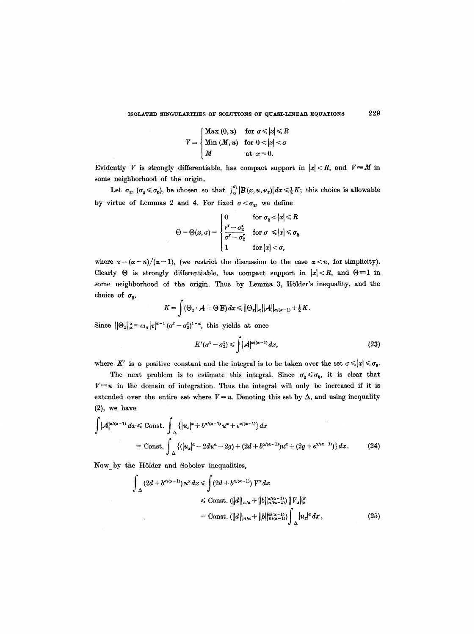$$
V = \begin{cases} \text{Max } (0, u) & \text{for } \sigma \leq |x| \leq R \\ \text{Min } (M, u) & \text{for } 0 < |x| < \sigma \\ M & \text{at } x = 0. \end{cases}
$$

Evidently V is strongly differentiable, has compact support in  $|x| < R$ , and  $V \equiv M$  in some neighborhood of the origin.

Let  $\sigma_2$ ,  $(\sigma_2 \leq \sigma_0)$ , be chosen so that  $\int_0^{\sigma_1} |\mathcal{B}(x,u,u_x)| dx \leq \frac{1}{2}K$ ; this choice is allowable by virtue of Lemmas 2 and 4. For fixed  $\sigma < \sigma_2$ , we define

$$
\Theta = \Theta(x, \sigma) = \begin{cases} 0 & \text{for } \sigma_2 < |x| \leq R \\ \frac{r^{\tau} - \sigma_2^{\tau}}{\sigma^{\tau} - \sigma_2^{\tau}} & \text{for } \sigma \leq |x| \leq \sigma_2 \\ 1 & \text{for } |x| < \sigma, \end{cases}
$$

where  $\tau = (\alpha - n)/(\alpha - 1)$ , (we restrict the discussion to the case  $\alpha < n$ , for simplicity). Clearly  $\Theta$  is strongly differentiable, has compact support in  $|x| < R$ , and  $\Theta \equiv 1$  in some neighborhood of the origin. Thus by Lemma 3, Hölder's inequality, and the choice of  $\sigma_{2}$ ,

$$
K=\int (\Theta_x\cdot \mathcal{A}+\Theta\,\mathcal{B})\,dx\leq \big\|\Theta_x\big\|_{\alpha}\big\|\mathcal{A}\big\|_{\alpha/(\alpha-1)}+\tfrac{1}{2}\,K.
$$

Since  $\|\Theta_x\|_{\alpha} = \omega_n |\tau|^{\alpha-1} (\sigma^{\tau}-\sigma_2^{\tau})^{1-\alpha}$ , this yields at once

$$
K'(\sigma^{\tau}-\sigma_2^{\tau}) \leqslant \int |\mathcal{A}|^{\alpha/(\alpha-1)} dx, \qquad (23)
$$

where K' is a positive constant and the integral is to be taken over the set  $\sigma \leqslant |x| \leqslant \sigma_2$ .

The next problem is to estimate this integral. Since  $\sigma_2 \le \sigma_0$ , it is clear that  $V \equiv u$  in the domain of integration. Thus the integral will only be increased if it is extended over the entire set where  $V = u$ . Denoting this set by  $\Delta$ , and using inequality (2), we have

$$
\int |A|^{\alpha/(\alpha-1)} dx \leq \text{Const.} \int_{\Delta} \left\{ |u_x|^{\alpha} + b^{\alpha/(\alpha-1)} u^{\alpha} + e^{\alpha/(\alpha-1)} \right\} dx
$$
  
= Const. 
$$
\int_{\Delta} \left\{ (|u_x|^{\alpha} - 2du^{\alpha} - 2g) + (2d + b^{\alpha/(\alpha-1)}) u^{\alpha} + (2g + e^{\alpha/(\alpha-1)}) \right\} dx. \tag{24}
$$

Now by the Hölder and Sobolev inequalities,

$$
\int_{\Delta} (2d + b^{\alpha/(\alpha-1)}) u^{\alpha} dx \leq \int (2d + b^{\alpha/(\alpha-1)}) V^{\alpha} dx
$$
  
\n
$$
\leq \text{Const.} \left( \frac{||d||_{n/\alpha} + ||b||_{n/(\alpha-1)}}{n/\alpha} \right) \left\| V_x \right\|_{\alpha}^{\alpha}
$$
  
\n
$$
= \text{Const.} \left( \frac{||d||_{n/\alpha} + ||b||_{n/(\alpha-1)}}{n/\alpha} \right) \int_{\Delta} |u_x|^{\alpha} dx , \tag{25}
$$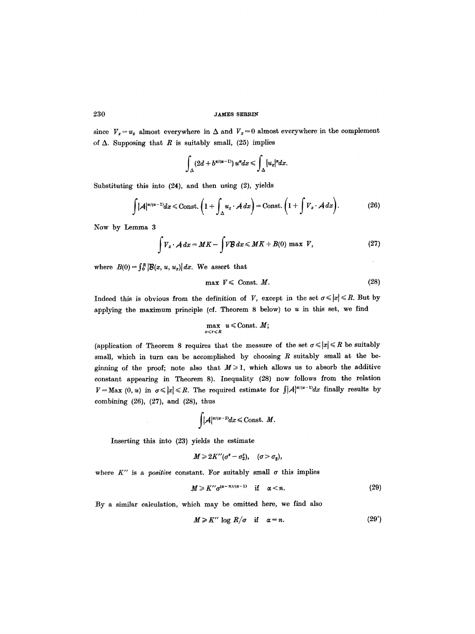since  $V_z = u_x$  almost everywhere in  $\Delta$  and  $V_z = 0$  almost everywhere in the complement of  $\Delta$ . Supposing that R is suitably small, (25) implies

$$
\int_{\Delta} (2d + b^{\alpha/(\alpha-1)}) u^{\alpha} dx \leqslant \int_{\Delta} |u_x|^{\alpha} dx.
$$

Substituting this into (24), and then using (2), yields

$$
\int |\mathcal{A}|^{\alpha/(\alpha-1)} dx \leq \text{Const.} \left(1 + \int_{\Delta} u_x \cdot \mathcal{A} dx\right) = \text{Const.} \left(1 + \int V_x \cdot \mathcal{A} dx\right).
$$
 (26)

Now by Lemma 3

$$
\int V_x \cdot A \, dx = MK - \int V \mathcal{B} \, dx \le MK + B(0) \text{ max } V, \tag{27}
$$

where  $B(0) = \int_0^R \left| \mathcal{B}(x, u, u_x) \right| dx$ . We assert that

$$
\max V \leqslant \text{Const. } M. \tag{28}
$$

Indeed this is obvious from the definition of V, except in the set  $\sigma \leqslant |x| \leqslant R$ . But by applying the maximum principle (cf. Theorem 8 below) to  $u$  in this set, we find

$$
\max_{\sigma\leqslant r\leqslant R}u\leqslant {\rm Const.}~M;
$$

(application of Theorem 8 requires that the measure of the set  $\sigma \leqslant |x| \leqslant R$  be suitably small, which in turn can be accomplished by choosing  $R$  suitably small at the beginning of the proof; note also that  $M \ge 1$ , which allows us to absorb the additive constant appearing in Theorem 8). Inequality (28) now follows from the relation  $V=\text{Max } (0, u)$  in  $\sigma \leqslant |x| \leqslant R$ . The required estimate for  $\int_{A} |A|^{\alpha/(\alpha-1)}dx$  finally results by combining (26), (27), and (28), thus

$$
\int |A|^{\alpha/(\alpha-1)} dx \leqslant \text{Const. } M.
$$

Inserting this into (23) yields the estimate

$$
M \geq 2K''(\sigma^{\tau}-\sigma_2^{\tau}), \quad (\sigma > \sigma_2),
$$

where  $K''$  is a *positive* constant. For suitably small  $\sigma$  this implies

$$
M \geq K'' \sigma^{(\alpha - n)/(\alpha - 1)} \quad \text{if} \quad \alpha < n. \tag{29}
$$

By a similar calculation, which may be omitted here, we find also

$$
M \geq K'' \log R/\sigma \quad \text{if} \quad \alpha = n. \tag{29'}
$$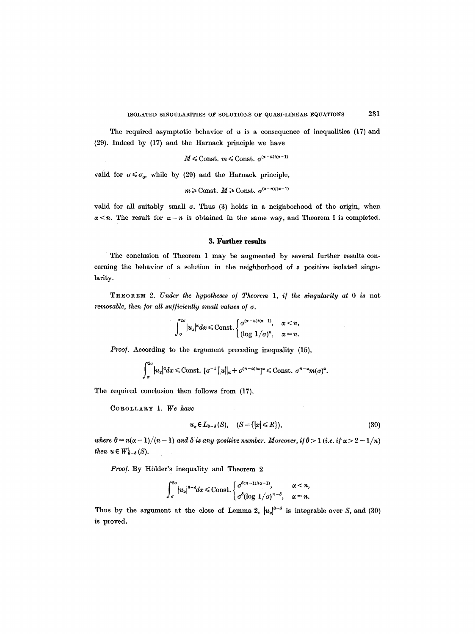The required asymptotic behavior of  $u$  is a consequence of inequalities (17) and (29). Indeed by (17) and the Harnack principle we have

 $M \leqslant \mathrm{Const.}$   $m \leqslant \mathrm{Const.}$   $\sigma^{(\alpha - n) / (\alpha - 1)}$ 

valid for  $\sigma \leq \sigma_0$ , while by (29) and the Harnack principle,

 $m \geq \text{Const. } M \geq \text{Const. } \sigma^{(\alpha-n)/(\alpha-1)}$ 

valid for all suitably small  $\sigma$ . Thus (3) holds in a neighborhood of the origin, when  $\alpha < n$ . The result for  $\alpha = n$  is obtained in the same way, and Theorem 1 is completed.

#### **3. Further results**

The conclusion of Theorem 1 may be augmented by several further results concerning the behavior of a solution in the neighborhood of a positive isolated singu. larity.

T~EOREM 2. *Under the hypotheses o/ Theorem 1, i/ the singularity at 0 is* not *removable, then for all sufficiently small values of*  $\sigma$ *.* 

$$
\int_{\sigma}^{2\sigma} |u_x|^{\alpha} dx \leq \text{Const.} \begin{cases} \sigma^{(\alpha-n)/(\alpha-1)}, & \alpha < n, \\ (\log 1/\sigma)^n, & \alpha = n. \end{cases}
$$

Proof. According to the argument preceding inequality (15),

$$
\int_{\sigma}^{2\sigma} |u_x|^{\alpha} dx \leq \text{Const.} \ [\sigma^{-1} ||u||_{\alpha} + \sigma^{(n-\alpha)/\alpha}]^{\alpha} \leq \text{Const.} \ \sigma^{n-\alpha}m(\sigma)^{\alpha}.
$$

The required conclusion then follows from (17).

COROLLARY 1. *We have* 

$$
u_x \in L_{\theta-\delta}(S), \quad (S = \{|x| \leq R\}), \tag{30}
$$

*where*  $\theta = n(\alpha - 1)/(n - 1)$  *and*  $\delta$  *is any positive number. Moreover, if*  $\theta > 1$  (*i.e. if*  $\alpha > 2 - 1/n$ ) *then*  $u \in W_{\theta-\delta}^1(S)$ *.* 

Proof. By Hölder's inequality and Theorem 2

$$
\int_{\sigma}^{2\sigma} |u_{x}|^{\theta-\delta} dx \leq \text{Const.} \begin{cases} \sigma^{\delta(n-1)/(\alpha-1)}, & \alpha < n, \\ \sigma^{\delta}(\log 1/\sigma)^{n-\delta}, & \alpha = n. \end{cases}
$$

Thus by the argument at the close of Lemma 2,  $|u_x|^{6-\delta}$  is integrable over S, and (30) is proved.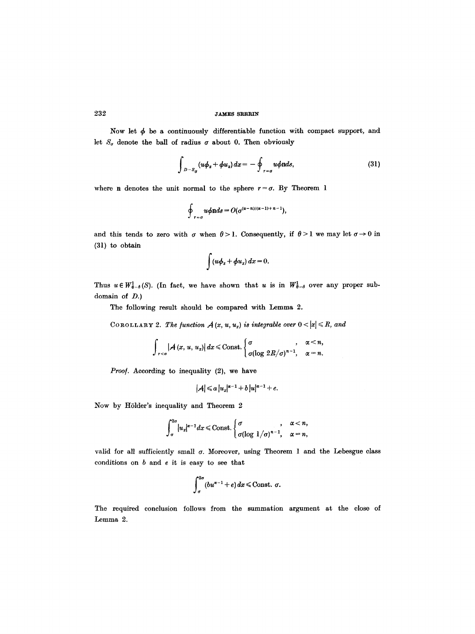Now let  $\phi$  be a continuously differentiable function with compact support, and let  $S_{\sigma}$  denote the ball of radius  $\sigma$  about 0. Then obviously

$$
\int_{|D-S_{\sigma}} (u\phi_x + \phi u_x) dx = -\oint_{r-\sigma} u\phi \text{ n} ds, \qquad (31)
$$

where n denotes the unit normal to the sphere  $r = \sigma$ . By Theorem 1

$$
\oint_{r=\sigma} u\phi \mathrm{n} ds = O(\sigma^{(\alpha-n)/(\alpha-1)+n-1}),
$$

and this tends to zero with  $\sigma$  when  $\theta > 1$ . Consequently, if  $\theta > 1$  we may let  $\sigma \to 0$  in (31) to obtain

$$
\int (u\phi_x + \phi u_x) dx = 0.
$$

Thus  $u \in W^1_{\theta-\delta}(S)$ . (In fact, we have shown that u is in  $W^1_{\theta-\delta}$  over any proper subdomain of D.)

The following result should be compared with Lemma 2.

COROLLARY 2. The function  $A(x, u, u_x)$  is integrable over  $0 < |x| \le R$ , and

$$
\int_{r
$$

Proof. According to inequality (2), we have

 $|A| \leq a |u_x|^{\alpha-1} + b |u|^{\alpha-1} + e.$ 

Now by Hölder's inequality and Theorem 2

$$
\int_{\sigma}^{2\sigma} |u_x|^{\alpha-1} dx \leq \text{Const.} \begin{cases} \sigma & , \alpha < n, \\ \sigma(\log 1/\sigma)^{n-1}, & \alpha = n, \end{cases}
$$

valid for all sufficiently small  $\sigma$ . Moreover, using Theorem 1 and the Lebesgue class conditions on  $b$  and  $e$  it is easy to see that

$$
\int_{\sigma}^{2\sigma} (bu^{\alpha-1}+e) dx \leq \text{Const. } \sigma.
$$

The required conclusion follows from the summation argument at the close of Lemma 2.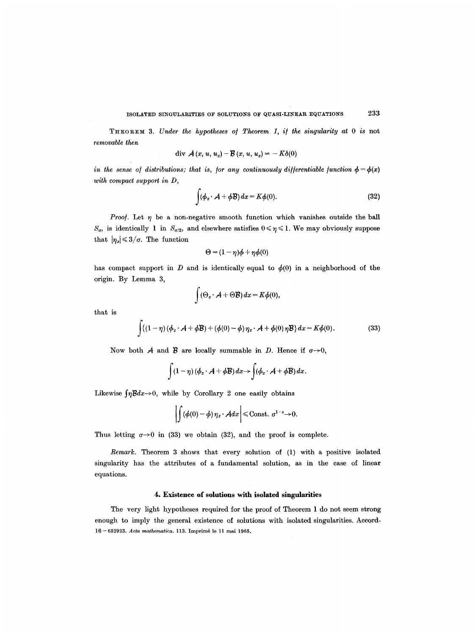THEOREM 3. *Under the hypotheses o/ Theorem 1, i/ the singularity at 0 is* not *removable then* 

$$
\text{div }\mathcal{A}(x, u, u_x) - \mathcal{B}(x, u, u_x) = -K\delta(0)
$$

*in the sense of distributions; that is, for any continuously differentiable function*  $\phi = \phi(x)$ *with compact support in D,* 

$$
\int (\phi_x \cdot \mathcal{A} + \phi \mathcal{B}) dx = K\phi(0). \tag{32}
$$

*Proof.* Let  $\eta$  be a non-negative smooth function which vanishes outside the ball  $S_{\sigma}$ , is identically 1 in  $S_{\sigma/2}$ , and elsewhere satisfies  $0 \le \eta \le 1$ . We may obviously suppose that  $|\eta_x| \leq 3/\sigma$ . The function

$$
\Theta = (1 - \eta)\phi + \eta\phi(0)
$$

has compact support in D and is identically equal to  $\phi(0)$  in a neighborhood of the origin. By Lemma 3,

$$
\int (\Theta_x \cdot \mathcal{A} + \Theta \mathcal{B}) dx = K \phi(0),
$$

that is

$$
\int \{(1-\eta)(\phi_x \cdot \mathcal{A} + \phi \mathcal{B}) + (\phi(0) - \phi)\eta_x \cdot \mathcal{A} + \phi(0)\eta \mathcal{B}\} dx = K\phi(0).
$$
 (33)

Now both A and B are locally summable in D. Hence if  $\sigma \rightarrow 0$ ,

$$
\int (1-\eta) (\phi_x \cdot \mathcal{A} + \phi \mathcal{B}) dx \rightarrow \int (\phi_x \cdot \mathcal{A} + \phi \mathcal{B}) dx.
$$

Likewise  $\int \eta \mathcal{B} dx \to 0$ , while by Corollary 2 one easily obtains

$$
\left|\int (\phi(0)-\phi)\,\eta_x\cdot \mathcal{A}dx\right|\leq \text{Const. } \sigma^{1-\epsilon}\to 0.
$$

Thus letting  $\sigma \rightarrow 0$  in (33) we obtain (32), and the proof is complete.

*Remark.* Theorem 3 shows that every solution of (1) with a positive isolated singularity has the attributes of a fundamental solution, as in the case of linear equations.

# **4. Existence of solutions with isolated singularities**

The very light hypotheses required for the proof of Theorem 1 do not seem strong enough to imply the general existence of solutions with isolated singularities. Accord-16 - 652923. *Acta mathematica*. 113. Imprimé le 11 mai 1965.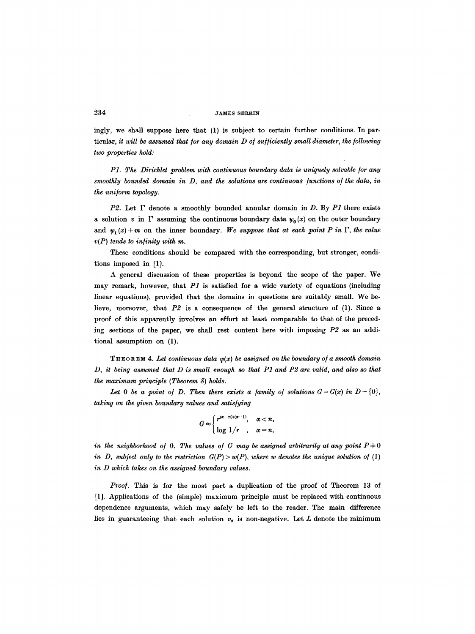ingly, we shall suppose here that (1) is subject to certain further conditions. In particular, *it will be assumed that for any domain D of sufficiently small diameter, the following two properties hold:* 

*P1. The Dirichlet problem with continuous boundary data is uniquely solvable for any smoothly bounded domain in D, and the solutions are continuous /unctions o/ the data, in the uniform topology.* 

*P2.* Let F denote a smoothly bounded annular domain in D. By *P1* there exists a solution v in  $\Gamma$  assuming the continuous boundary data  $\psi_0(x)$  on the outer boundary and  $\psi_1(x) + m$  on the inner boundary. We suppose that at each point P in  $\Gamma$ , the value *v(P) tends to infinity urith m.* 

These conditions should be compared with the corresponding, but stronger, conditions imposed in [1].

A general discussion of these properties is beyond the scope of the paper. We may remark, however, that *P1* is satisfied for a wide variety of equations (including linear equations), provided that the domains in questions are suitably small. We believe, moreover, that *P2* is a consequence of the general structure of (1). Since a proof of this apparently involves an effort at least comparable to that of the preceding sections of the paper, we shall rest content here with imposing *P2* as an additional assumption on (1).

THEOREM 4. Let continuous data  $y(x)$  be assigned on the boundary of a smooth domain *D, it being assumed that D is small enough so that P1 and P2 are valid, and also so that the maximum principle (Theorem 8) holds.* 

Let 0 be a point of D. Then there exists a family of solutions  $G = G(x)$  in  $D - \{0\}$ , *talcing on the given boundary values and satis/ying* 

$$
G \approx \begin{cases} r^{(\alpha - n)/(\alpha - 1)}, & \alpha < n, \\ \log 1/r, & \alpha = n, \end{cases}
$$

*in the neighborhood of* 0. The values of G may be assigned arbitrarily at any point  $P+0$ *in D, subject only to the restriction*  $G(P) > w(P)$ *, where w denotes the unique solution of* (1) *in D which takes on the assigned boundary values.* 

*Proo/.* This is for the most part a duplication of the proof of Theorem 13 of [1]. Applications of the (simple) maximum principle must be replaced with continuous dependence arguments, which may safely be left to the reader. The main difference lies in guaranteeing that each solution  $v<sub>\sigma</sub>$  is non-negative. Let L denote the minimum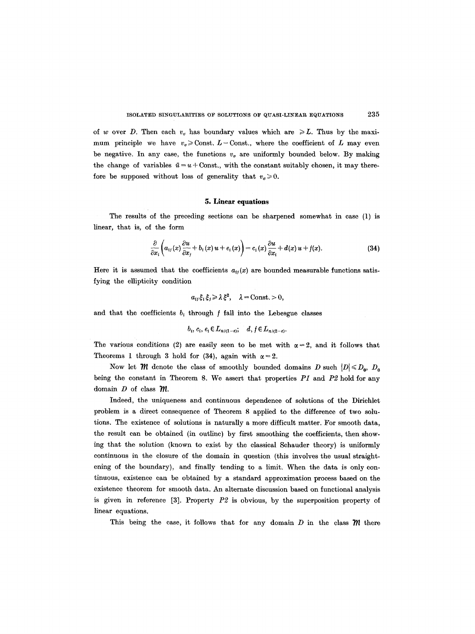of w over D. Then each  $v<sub>\sigma</sub>$  has boundary values which are  $\geq L$ . Thus by the maximum principle we have  $v_{\sigma} \geq 0$  Const.  $L-\text{Const.}$ , where the coefficient of L may even be negative. In any case, the functions  $v<sub>g</sub>$  are uniformly bounded below. By making the change of variables  $\bar{u} = u + \text{Const.}$ , with the constant suitably chosen, it may therefore be supposed without loss of generality that  $v_{\sigma} \geq 0$ .

#### **5. Linear equations**

The results of the preceding sections can be sharpened somewhat in case (1) is linear, that is, of the form

$$
\frac{\partial}{\partial x_i}\bigg(a_{ij}(x)\frac{\partial u}{\partial x_j}+b_i(x)u+e_i(x)\bigg)=c_i(x)\frac{\partial u}{\partial x_i}+d(x)u+f(x). \qquad (34)
$$

Here it is assumed that the coefficients  $a_{ij}(x)$  are bounded measurable functions satisfying the ellipticity condition

$$
a_{ij}\xi_i\xi_j\geqslant \lambda\xi^2,\quad \lambda=\text{Const.}>0,
$$

and that the coefficients  $b_i$  through  $f$  fall into the Lebesgue classes

$$
b_i, c_i, e_i \in L_{n/(1-\varepsilon)}, \quad d, f \in L_{n/(2-\varepsilon)}.
$$

The various conditions (2) are easily seen to be met with  $\alpha=2$ , and it follows that Theorems 1 through 3 hold for (34), again with  $\alpha = 2$ .

Now let *M* denote the class of smoothly bounded domains D such  $|D| \le D_0$ ,  $D_0$ being the constant in Theorem 8. We assert that properties *P1* and *P2* hold for any domain  $D$  of class  $m$ .

Indeed, the uniqueness and continuous dependence of solutions of the Dirichlet problem is a direct consequence of Theorem 8 applied to the difference of two solutions. The existence of solutions is naturally a more difficult matter. For smooth data, the result can be obtained (in outline) by first smoothing the coefficients, then showing that the solution (known to exist by the classical Schauder theory) is uniformly continuous in the closure of the domain in question (this involves the usual straightening of the boundary), and finally tending to a limit. When the data is only continuous, existence can be obtained by a standard approximation process based on the existence theorem for smooth data. An alternate discussion based on functional analysis is given in reference [3]. Property *P2* is obvious, by the superposition property of linear equations.

This being the case, it follows that for any domain  $D$  in the class  **there**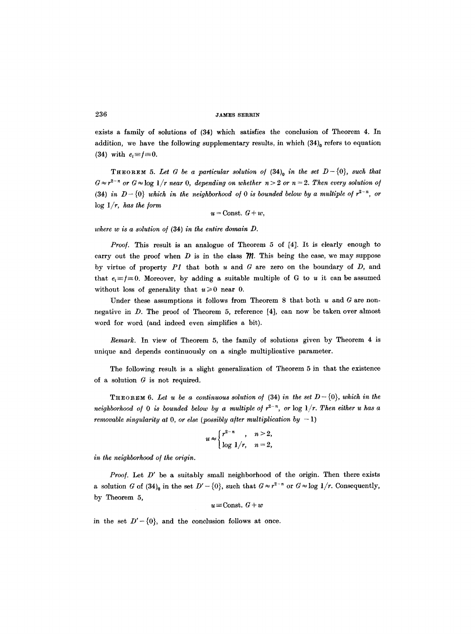exists a family of solutions of (34) which satisfies the conclusion of Theorem 4. In addition, we have the following supplementary results, in which  $(34)$ <sup>0</sup> refers to equation (34) with  $e_i \equiv f \equiv 0$ .

**THEOREM** 5. Let G be a particular solution of  $(34)$ <sub>0</sub> in the set  $D-\{0\}$ , such that  $G \approx r^{2-n}$  or  $G \approx \log 1/r$  *near* 0, depending on whether  $n > 2$  or  $n = 2$ . Then every solution of  $(34)$  *in*  $D-\{0\}$  which in the neighborhood of 0 is bounded below by a multiple of  $r^{2-n}$ , or  $\log 1/r$ , *has the form* 

 $u =$ Const.  $G + w$ ,

where w is a solution of (34) in the entire domain D.

*Proof.* This result is an analogue of Theorem 5 of [4]. It is clearly enough to carry out the proof when  $D$  is in the class  $\mathcal{M}$ . This being the case, we may suppose by virtue of property *P1* that both u and G are zero on the boundary of D, and that  $e_i \equiv j \equiv 0$ . Moreover, by adding a suitable multiple of G to u it can be assumed without loss of generality that  $u \ge 0$  near 0.

Under these assumptions it follows from Theorem 8 that both  $u$  and  $G$  are nonnegative in D. The proof of Theorem 5, reference [4], can now be taken over almost word for word (and indeed even simplifies a bit).

*Remark.* In view of Theorem 5, the family of solutions given by Theorem 4 is unique and depends continuously on a single multiplicative parameter.

The following result is a slight generalization of Theorem 5 in that the existence of a solution  $G$  is not required.

**THEOREM 6.** Let u be a continuous solution of (34) in the set  $D-\{0\}$ , which in the *neighborhood of* 0 *is bounded below by a multiple of*  $r^{2-n}$ , or  $\log(1/r)$ . Then either u has a *removable singularity at 0, or else (possibly after multiplication by*  $-1$ *)* 

$$
u \approx \begin{cases} r^{2-n} , & n > 2, \\ \log 1/r , & n = 2, \end{cases}
$$

in the neighborhood of the origin.

*Proof.* Let D' be a suitably small neighborhood of the origin. Then there exists a solution G of  $(34)_{0}$  in the set  $D'-\{0\}$ , such that  $G\approx r^{2-n}$  or  $G\approx \log 1/r$ . Consequently, by Theorem 5,

$$
u\!\equiv\!\text{Const. } G+w
$$

in the set  $D'-\{0\}$ , and the conclusion follows at once.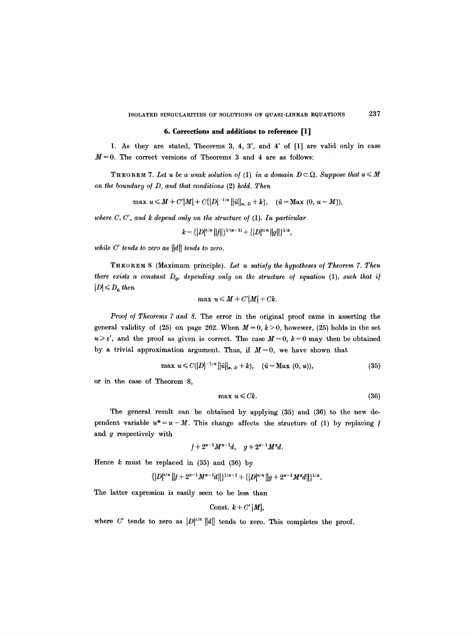# **6. Corrections and additions to reference [1]**

1. As they are stated, Theorems 3, 4, 3', and 4' of [1] are valid only in case  $M = 0$ . The correct versions of Theorems 3 and 4 are as follows:

**THEOREM 7.** Let u be a weak solution of (1) in a domain  $D \subset \Omega$ . Suppose that  $u \leq M$ *on the boundary o/D, and that conditions* (2) *hold. Then* 

$$
\max u \leq M + C'|M| + C\{|D|^{-1/\alpha}||\tilde{u}||_{\alpha, D} + k\}, \quad (\tilde{u} = \text{Max } (0, u - M)),
$$

*where C, C', and k depend only on the structure of* (1). *In particular* 

$$
k = \{ |D|^{\varepsilon/n} ||f|| \}^{1/(\alpha-1)} + \{ |D|^{\varepsilon/n} ||g|| \}^{1/\alpha},
$$

*while C' tends to zero as*  $||d||$  *tends to zero.* 

THEOREM 8 (Maximum principle). *Let u satisfy the hypotheses o/Theorem 7. Then there exists a constant*  $D_0$ *, depending only on the structure of equation (1), such that if*  $|D| \leqslant D_0$  then

$$
\max u \leqslant M + C'|M| + Ck.
$$

*Proof of Theorems 7 and 8.* The error in the original proof came in asserting the general validity of (25) on page 262. When  $M = 0$ ,  $k > 0$ , howewer, (25) holds in the set  $u \geq \varepsilon'$ , and the proof as given is correct. The case  $M = 0$ ,  $k = 0$  may then be obtained by a trivial approximation argument. Thus, if  $M = 0$ , we have shown that

$$
\max u \leq C(|D|^{-1/\alpha} ||\tilde{u}||_{\alpha, D} + k), \quad (\tilde{u} = \text{Max } (0, u)), \tag{35}
$$

or in the case of Theorem 8,

$$
\max u \leqslant Ck. \tag{36}
$$

The general result can be obtained by applying (35) and (36) to the new dependent variable  $u^* = u - M$ . This change affects the structure of (1) by replacing f and g respectively with

$$
f+2^{\alpha-1}M^{\alpha-1}d, \quad g+2^{\alpha-1}M^{\alpha}d.
$$

Hence  $k$  must be replaced in  $(35)$  and  $(36)$  by

$$
\{|D|^{\epsilon/n}\,||f+2^{\alpha-1}M^{\alpha-1}d||\}^{1/\alpha-1}+\{|D|^{\epsilon/n}\,||g+2^{\alpha-1}M^{\alpha}d||\}^{1/\alpha}.
$$

The latter expression is easily seen to be less than

$$
Const. \ k+C'|M|,
$$

where C' tends to zero as  $|D|^{e/n} ||d||$  tends to zero. This completes the proof.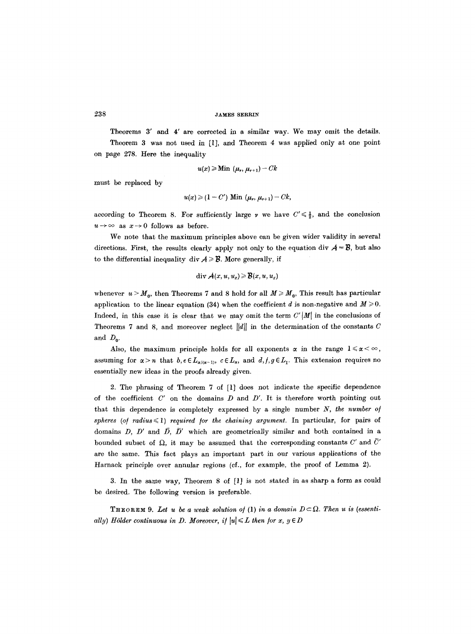Theorems 3' and 4' are corrected in a similar way. We may omit the details. Theorem 3 was not used in [1], and Theorem 4 was applied only at one point on page 278. Here the inequality

$$
u(x) \geqslant \mathrm{Min} \ (\mu_{\nu}, \mu_{\nu+1}) - Ck
$$

must be replaced by

$$
u(x) \geqslant (1-C') \text{ Min } (\mu_{\nu}, \mu_{\nu+1})-Ck,
$$

according to Theorem 8. For sufficiently large v we have  $C' \leq \frac{1}{2}$ , and the conclusion  $u \rightarrow \infty$  as  $x \rightarrow 0$  follows as before.

We note that the maximum principles above can be given wider validity in several directions. First, the results clearly apply not only to the equation div  $A = B$ , but also to the differential inequality div  $A \ge B$ . More generally, if

$$
\operatorname{div} \mathcal{A}(x, u, u_x) \geq \mathcal{B}(x, u, u_x)
$$

whenever  $u > M_0$ , then Theorems 7 and 8 hold for all  $M \geq M_0$ , This result has particular application to the linear equation (34) when the coefficient d is non-negative and  $M \ge 0$ . Indeed, in this case it is clear that we may omit the term  $C'$  |M| in the conclusions of Theorems 7 and 8, and moreover neglect  $||d||$  in the determination of the constants C and  $D_0$ .

Also, the maximum principle holds for all exponents  $\alpha$  in the range  $1 \le \alpha \le \infty$ , assuming for  $\alpha > n$  that  $b, e \in L_{\alpha/(\alpha-1)}$ ,  $c \in L_{\alpha}$ , and  $d, f, g \in L_1$ . This extension requires no essentially new ideas in the proofs already given.

2. The phrasing of Theorem 7 of [1] does not indicate the specific dependence of the coefficient  $C'$  on the domains  $D$  and  $D'$ . It is therefore worth pointing out that this dependence is completely expressed by a single number *N, the number o/*   $spheres (of radius  $\leq 1$ ) required for the chaining argument. In particular, for pairs of$ domains D, D' and  $\bar{D}$ ,  $\bar{D}'$  which are geometrically similar and both contained in a bounded subset of  $\Omega$ , it may be assumed that the corresponding constants C' and  $\overline{C}'$ are the same. This fact plays an important part in our various applications of the Harnack principle over annular regions (cf., for example, the proof of Lemma 2).

3. In the same way, Theorem 8 of [1] is not stated in as sharp a form as could be desired. The following version is preferable.

**THEOREM 9.** Let u be a weak solution of (1) in a domain  $D \subset \Omega$ . Then u is (essenti*ally)* Hölder continuous in D. Moreover, if  $|u| \le L$  then for  $x, y \in D$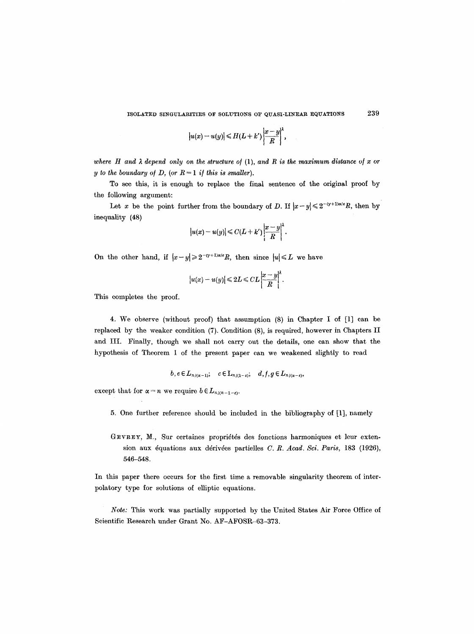$$
|u(x)-u(y)|\leqslant H(L+k')\left|\frac{x-y}{R}\right|^{\lambda},\,
$$

where  $H$  and  $\lambda$  depend only on the structure of  $(1)$ , and  $R$  is the maximum distance of x or *y* to the boundary of D, (or  $R = 1$  if this is smaller).

To see this, it is enough to replace the final sentence of the original proof by the following argument:

Let x be the point further from the boundary of D. If  $|x-y| \leq 2^{-(y+1)\alpha/\varepsilon}R$ , then by inequality (48)

$$
|u(x)-u(y)| \leq C(L+k')\left|\frac{x-y}{R}\right|^{\lambda}.
$$

On the other hand, if  $|x-y| \geq 2^{-(\gamma+1)\alpha/\epsilon}R$ , then since  $|u| \leq L$  we have

$$
|u(x)-u(y)|\leq 2L\leq CL\left|\frac{x-y}{R}\right|^{\lambda}.
$$

This completes the proof.

4. We observe (without proof) that assumption (8) in Chapter I of [1] can be replaced by the weaker condition (7). Condition (8), is required, however in Chapters II and III. Finally, though we shall not carry out the details, one can show that the hypothesis of Theorem 1 of the present paper can we weakened slightly to read

$$
b, e \in L_{n/(\alpha-1)}; \quad c \in L_{n/(\alpha-\varepsilon)}, \quad d, f, g \in L_{n/(\alpha-\varepsilon)},
$$

except that for  $\alpha = n$  we require  $b \in L_{n/(n-1-\epsilon)}$ .

- 5. One further reference should be included in the bibliography of [1], namely
- GEVREY, M., Sur certaines propriétés des fonctions harmoniques et leur extension aux équations aux dérivées partielles *C. R. Acad. Sci. Paris*, 183 (1926), 546-548.

In this paper there occurs for the first time a removable singularity theorem of interpolatory type for solutions of elliptic equations.

*Note:* This work was partially supported by the United States Air Force Office of Scientific Research under Grant No. AF-AFOSR-63-373.